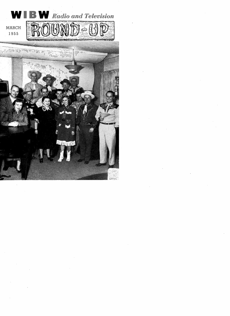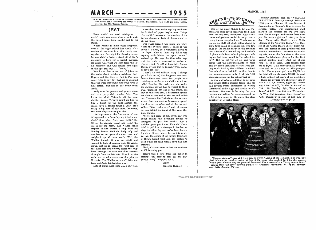# $MARCH$  - - - - - - - 1955

The WIBW Round-Up Magazine is published monthly by the WIBW Round-Up. Allan Young, Editor. Two weeks' notice necessary for change of address. Subscription rates \$1.00 per year. Mailing address, Box 119, Topeka, Kansas.

## JEST

Been sortin' my seed catalogues . . . gettin' ready you know. Jest tryin' to pick the ones I want, bein' careful not to get stung.

Which recalls to mind what happened over at the night school last week. Our teacher drives over from the county seat regular, and this night I'm thinking about he was givin' a lecture about all of God's creatures is here for a useful purpose. He asked Gus what we learn from the lil' ole mosquito and Gus looked him right in the eye and says ... "stung."

You know they make lots of jokes on the radio about butchers weighing their fingers and the like;  $-$  fact is I've met some fellas in my day that are so crooked that the wool they pulls over your eyes is half cotton. But not so our home town Andy.

and is a purty civic minded fella. You know the kind. Takes in all the local checker games. Always count on him to buy a ticket for the quilt auction the ladies have a couple times a year. He's velled, "You really are!" and of course really a big man in our town. However, the other day—fate caught him.

The boys over at the fire house tell me it happened on a Saturday night just about closin' time when Andy was puttin' the lid on the cracker barrel and lettin' the cat in for the night. The Widder Jones stopped in and wanted a soup bone for. Sunday dinner. Well ole Andy only had one left so he opens the meat case and weighs it up. 43 cents worth! Well, the Widder thought it was too small and wanted to look at another one. So Andy, clown that he is, opens the right side of the meat case and quickly slides the soup bone through the case and then reaches through from the left side. Puts it on the scale and proudly announces the price as 73 cents. The Widder says she'll take 'em both and Andy fainted dead away.

Lots of things happening down our way.

Course they don't make any big headlines, but in the local paper they're news. Things like quiltin' bees—and the meeting of the barber shoppers. Lots of things goin' on all the time.

The other night it was kinda late when I left the snooker game, I guess it was about 8 o'clock, so I wandered down to the depot. One of them city fellas was arguing with Merle, the agent, when I walked up. He says the time table says that the train is supposed to arrive at nine -ten and it's half an hour late. Course Merle, sly one that he is says, "Well, mister it ain't ten yit."

Andy runs the grocery and general store of the story goes, a brakeman opened There's an old railroad story I always get a kick out of, that happened out west. Seems there was never two people who could agree on the pronunciation of a town called Eurelia. The brakemen who called the stations always had to resort to their own judgment. On one of the trains, one the door at one end of the car and called out: "You're a liar!" which was his version. About that time another brakeman opened the door at the other end of the car and he was calling the name of the same station, Eurelia.

> We've had loads of fun down our way about selling the Brooklyn Bridge to strangers the past few weeks. Just a sociable game you know. Poor old Hiram tried to pull it on a stranger in the barber shop the other day and we've been laughing about it ever since. Seems this stranger was the owner of the darned thing and if Hiram hadn't paid him ten dollars to keep quiet the man would have had him arrested.

> Well, it's about time to feed the chickens so I'll be suing you.

> Here's just a note from our paper in closing: "It's easy to pick out the best people. They'll help you do it."

> > $\sim 100$

JEST (Incense Burner)



One of the nicest things to hit our Topeka area since paved roads was the 9 -inch snow we had early last month. Our farms, lawns and gardens needed it badly. But it brought some complications. Nearly every one on the staff got stuck before chains or snow tires could be rounded up. The few folks at the studio early in the morning had a deuce of a time taking the hundreds of phone calls from school principals telling us that there would be "no school today." But we got 'em all on-and we're proud that the announcements on radio and TV saved thousands of cars from getting stuck hauling the children to school. One school principal told us that due to the announcements, only 6 of his 1,600 students showed up for school that day.

and service staff is Miriam Marx. She has had several years' experience in writing commercial radio copy and service to advertisers. She now is learning the production and writing for television—and has a lot of fun doing it. Miriam is the older daughter of Groucho Marx.

Tommy Bartlett, seen on "WELCOME TRAVELERS" Monday through Friday at 12:30 p.m. on Channel 13, was Master of Ceremonies of Topeka's first telethon for cerebral palsy. Our engineering staff manned the cameras for the live show from the Municipal Auditorium from 10:15 p.m. Saturday night until 3:00 p.m. Sunday. Along with Bartlett were Betty Clooney of the "Morning Show," Ken Car son of the "Garry Moore Show," Betty An cona and dozens of local professional and amateur entertainers. Between entertaining acts, one of the four stars of the show asked for telephone pledges for the fight against cerebral palsy. And the phones rang-all 50 of them. Gifts ranged from  $25¢$  to \$1,000. Calls came from all over the state and as far away as Albuquerque, N. M. The original goal was \$30,000 but the total will surely reach \$50,000. A great tribute to the great hearts of our neighbors.

A new and welcome addition to our sales There are several new shows for you on WIBW-TV. On Monday night, it's "Burns and Allen" at 7:00, "T-Men in Action" at 7:30... On Tuesday night, "Mayor of the Town" at 7:30 ... at 9:00 p.m. Wednesday, it's "The Old American Barn Dance" ... "City Detective" is seen at 9:00 p.m. on (Continued on Page 11)



"Congratulations!" says Art Holbrook to Betty Ancona at the completion of Topeka's first telethon for cerebral palsy. A few of the many who worked hard for the success of this great undertaking are pictured here with Ken Carson of the "Garry Moore Show" (Second from the left); Tommy Bartlett of "Welcome Travelers," MC of the telethon and Betty Ancona, TV star.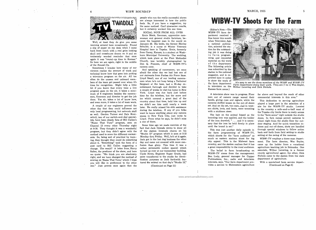

Well, at least they do give you some warning around here occasionally. Found a slip of paper on my desk when I came back from lunch with a real grim looking skull and crossbones drawn on it and an 'ominously worded reminder that once again it was "round -up time in Kansas." So here we are again, right in the middle of the Round-Up.

Sometimes I wonder how many of our camera crew.<br>viewers realize the amount of work and And speaking of cameramen, we were technical know how that goes into putting often do the unseen and unheard mem- bers of the team get passed over when it's time. for recognition. Might help a little bit if you knew that every time a live program goes on the air, it takes a mini mum of 6 engineers besides the cameramen, floormen and director to get the job done. Yes sir, takes a lot of know how, and even more, it takes a lot of team work.

A couple of our engineers proved the other day that they could influence not only local programming, but network stuff as well. Gordon Turner and Dale Kratochvil, two of our switch - and -dial specialists, have been steady fans of Bill Cullen's "Name That Tune" program, seen on Channel 13 every other Thursday night at 9:30. They thought it was a wonderful program, but they didn't agree with the method used to score the different contestants. So, being sort of practical by training, they thought they could do something Jack got in the lost dog business the other<br>shout it 'Something'' took the form of a day and came out covered with more conabout it. 'Something" took the form of a post card to Bill Cullen suggesting a change. The result? A letter from Harry Salter, the producer of the show, and here we quote: "We think you are absolutely right, and we have changed the method of scoring on 'Name That Tune,' which I hope you will like in preference to the other one." Just proves once again that the

people who run the really successful shows are always interested in how the public feels. So, if you have a suggestion, try the same method. Can't guarantee results, but it certainly worked this one time.

 $Bill$   $Banton$   $\ldots$   $\ldots$   $\ldots$   $\ldots$   $\ldots$   $\ldots$   $\ldots$   $\ldots$   $\ldots$   $\ldots$   $\ldots$   $\ldots$   $\ldots$   $\ldots$   $\ldots$   $\ldots$   $\ldots$   $\ldots$   $\ldots$   $\ldots$   $\ldots$   $\ldots$   $\ldots$   $\ldots$   $\ldots$   $\ldots$   $\ldots$   $\ldots$   $\ldots$   $\ldots$   $\ldots$   $\ldots$   $\ldots$   $\ldots$   $\ldots$  SOCIAL NOTE FROM ALL OVER Ernie Monk, floorman, apprentice camcame the happiest man in the world on January 23. His bride, the former Shirley Schulke, is a nurse at Winter Veterans Hospital here in Topeka. Ernie, formerly from Caney, Kansas, is a student at Washburn Municipal University. The wedding, which took place at the First Methodist Church, was lavishly photographed by Don Q. Franzen, chief of WIBW-TV's

a television program on the air. All too bur statwarts from rorpes Air rorce pase.<br>Lloyd Small, one of our leading cameraour stalwarts from Forbes Air Force Base. men when he's not busy being a Technical Sergeant at the base, had a 30-day reenlistment furlough and decided to take a couple of weeks to visit his home in New York. Lloyd was due back just before time for the telethon, but the snow and ice which covered a great deal of the country about that time, held him up and we didn't see him until nearly a week later. We really missed his able assistance during the telethon. If any of you folks want to know anything about any camera stores in New York City, just write to Lloyd. From what he says, he didn't miss a one of them.

> Some time ago we made mention of the fact that Jack Ostrode seems to draw all of the station livestock chores on his "Studio 13" program which is seen at 5:15 Monday thru Friday. Well, he's at it again. Jack got in the lost dog business the other fusion than glory. This time it was a rather personable cocker spaniel which turned up over at our transmitter building. Clyde Howe, Engineer Super Grade, had same transferred to the studio for identification purposes so Jack forthwith featured the animal on that day's "Studio 13,"

(Continued on Page 11)

# WIBW.TV Shoots For The Farm

(Editor's Note.-The WIBW -TV farm department received a fine honor this month when Television Age, a national publication, selected the station for the outstanding job it was doing in farm programming, and requested material on the work of th e department. The following article was submitted by the station to the national magazine, and is reprinted here in order to show the work of the farm department Kansas farm scene.)



in television on the Wilbur Levering and Dick Nichols. It's easy to see the three members of the WIBW and WIBW -TV Farm Department enjoy their work. They are (1 to  $r$ ) Wes Seyler,

<sup>A</sup>television show was in progress. Floor men out of camera range waved their hands, giving cues and signals, while the cameras shifted lenses on the out -of -doors set. And on the set, two men, clad in western shirts, levis, and boots, were wrestling with a stubborn steer.

The hair on the animal hissed as the branding iron was applied, and the holder of the iron drawled, " $\dots$  and it is necessary that the iron be held firmly in place until the brand is set."

This was just another daily episode in the farm programming of WIBW -TV, which shoots for the "farm audience" as much as eastern stations shoot for big city appeal. This is the Midwest farm country, and the station realizes that it has a great responsibility to the rural audience.

The belief in farm broadcasting on WIBW-TV stems from the management. Ben Ludy, general manager for Capper Publications, Inc., radio and television interests, says, "Our farm department provides a service to Midwestern agriculture far above and beyond the reach of other commercial interests in this area."

This dedication to serving agriculture played a large part in the selection of a site for the WIBW -TV studio. Located in the country a mile-and-a-half west of the Topeka city limits there is ready access to the "farm scene" right outside the studio doors. In fact, ramps permit cameras to wheel right from the studio floor for outdoor staging. And for quick transition indoors and out-of-doors, shots are handled through special windows to follow action back and forth from field setting to studio setting at the swing of the cameras.

WIBW -TV employs a three -man department. The farm director, Wes Seyler, came up the ladder from a vocational agriculture teaching job in Nebraska. One associate, Wilbur Levering, is a former county agricultural agent; the other, Dick Nichols came to the station from the state department of agriculture.

With a specialized farm service depart-(Continued on Page 6)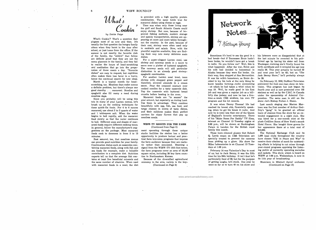

by Dottie Paige

What's Cookin'? That's a question that plagues most of us now and then. It's usually the first question the hungry family utters when they burst in the door after school, or just home from the office. If the answer is not exactly the favorite dish of the family, the "ahhh's" that follow are definite proof that they are not the menu planners in the family, and they fail to realize the hours of head -scratching and meditation that go into the preparation of three meals a day. "Favorite dishes" are easy to request, but repitition often makes them lose favor in a hurry, hence the continual search for new ideas.

March is a typical month for headscratching, too. Meatless days make menus a definite problem, but there's always one cooked noodles for a tasty casserole dish.<br>good standby ... macaroni. Noodles and  $T_{\text{CR}}$  the escense with buttered head spaghetti also fill many a need during meatless days.

Since you probably will be using this trio in many of your Lenten menus, let's brush up on the cooking techniques for these quick -fix foods. For 4 to 6 ounces macaroni, use about 2 to 3 quarts of water and 1 tablespoon salt. When the water begins to boil rapidly, add the macaroni food slowly so that the water continues to boil. Different sizes and shapes of mac- aroni foods require different cooking times. In general, follow the manufacturer's suggestions on the package. Most macaroni foods cook to doneness in from 5 to 15 minutes.

Rest assured, too, that meatless menus can provide good nutrition for your family. Combination dishes such as casseroles con- taining macaroni foods, along with fish and sea foods for example, make a valuable contribution to a complete diet. Nutrition experts tell us that the average fish con- tains at least five beneficial minerals and the same number of vitamins. When used with macaroni foods in a meal, the diet is provided with a high quality protein combination. The same holds true for macaroni dishes using cheese or eggs.

Time was when only those living near the gulf and South Atlantic Coasts could enjoy shrimp. But now, because of improved fishing methods, modern storage and speedy transportation, shrimp are appearing on more and more tables throughout the country. In the past, because of their cost, shrimp were often used only in cocktails and salads. Now, with the plentiful supplies available, they are finding their way into many delicious main dishes.

For a super -elegant Lenten meal, use shrimp and caraway seeds in a sauce to serve over a platter of buttered spaghetti. The caraway seeds will add particular distinction to an already good shrimp spaghetti combination.

For another Lenten meal treat, team shrimp with chopped green pepper and blanched, slivered almonds in a cream sauce. Pour the creamed mixture over Top the casserole with buttered bread crumbs before heating in the oven.

Macaroni foods are "in season" the year around, but especially so during Lent. Use them to advantage. They combine beautifully with egg, fish, sea food, and tangy cheeses in scores of tasty dishes, and their mildness makes them perfect carriers for nippy flavors that pep up meatless meals.

#### WIBW-TV SHOOTS FOR THE FARM (Continued from Page 5)

ment operating through these unique studio facilities the station has a better opportunity to produce factual and practical farm television programs that impress the farm audience because they are realistic rather than simulated. Beaming a signal from the WIBW -TV 1010 -foot tower, the farm programs cover an area of 18,146 square miles, including 28 key farm counties in Northeastern Kansas.

Because of the diversified agricultural economy in the area, variety is the key-(Continued on Page 9)



Sometimes it's hard to see the good in a bad break -but if Tennessee Ernie hadn't been broke, he wouldn't have got a break in radio. Do you follow me? Well, this is what happened. After the war, Ernie and his wife had decided to homestead in Alaska because they were flat broke. On their way, they stopped at San Bernardino. It was his wife's hometown, so Ernie decided to try his luck at the only thing he knew besides farming—radio announcing<br>
-at which he had taken a whirl when he<br>
was 19. Well, he made good in his first job and was given a regular job as a hillbilly disc jockey; and now he has a fivetime -a -week CBS airshow, his own TV program and his hit records.

It was when Danny Thomas' life had reached its lowest ebb, financially speaking, when he got his break in radio. And now he is none less than one of the Queen of England's favorite entertainers. Three of his "Make Room For Daddy" TV films, telecast on Channel 13 Tuesday nights at 8:00 p.m., will be shown at Buckingham Palace in London for the British royal family this month.

Those horn-rimmed glasses that Robert Q. Lewis wears on CBS Television are specially treated to prevent the cameras from picking up a glare. His show for Miles Laboratories is on Channel 13 Tuesdays at 1:00 p.m.

February 14 was Valentine's Day to most of us; but to Jack Benny, it was the fifth and rackets. This show, which is heard on<br>time for his 39th birthday. It isn't that he's WIBW at 7:00 p.m. Wednesdays, is now in time for his 39th birthday. It isn't that he's particularly fond of 39, but for the purpose of getting laughs, he's stuck. One year he went so far as to turn 40 on his show and

his listeners were so disappointed that at the last minute he reverted to his publicized age by having his sister call from Waukegan claiming she'd finally found his birth certificate and it revealed his age was really 38. This year actually he turned <sup>62</sup> and next year he'll be 63; but on "The Jack Benny Show," he'll probably always be 39.

On February 12, 1952, DuMont Television premiered the first one-man show on television. This program has just begun its fourth year and is now presented over 165 stations as well as by the C.B.C. in Canada under the sponsorship of Admiral Corporation. The same man is still on the show-he's Bishop Fulton J. Sheen.

Last month singing star Marion Marlowe was the first member of Arthur Godfrey's "gang" to be granted an official leave of absence from the show for an extended engagement in a night club. She was hired for a one -month stint at the plush Cotillion Room of New York's swank Hotel Pierre. She bought three gowns for her appearance there at a total cost of \$12,000.

The National Exchange Club and its 1,400 local clubs throughout the country have chosen "FBI in Peace and War" to receive their citation of merit for outstanding efforts in helping to cut crime through year -round programs apprising the listening public of currently operating swindles and rackets. This show, which is heard on its 11th year of broadcasting.

Musicians in Mitchell Ayres' orchestra (Continued on Page 12)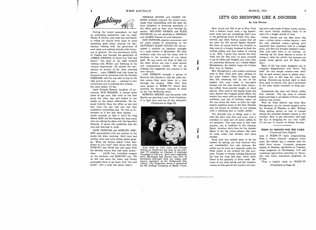8

During the recent snowstorm we had an interesting personality visit our staff. Walter E. Divine, with long hair and beard, is riding his bicycle from coast to coast spreading good cheer, playing his harmonica, visiting with the governors of each state and making friends with every one in general. He was snowbound while in Topeka and through the generosity of JIMMIE PIERSON, he found his "bed and board." The boys on the staff enjoyed visiting with Walter and listening to his various experiences. He played the harmonica on several of the early morning wishing him<br>chours then UMMIE took him home as new venture. shows ... then JIMMIE took him home as his guest and he remained with the friendly PIERSONS until he was able to hop on his bike and be on his way ... perhaps to new adventures and to meeting new friends ... but none better, I'll bet.

Little Roberta Kearns, daughter of an nouncer BOB KEARNS, is almost three years of age now. She went to her first party the other day and talked to her daddy on the phone afterwards. He listened intently from the office as she told him what fun she had and just how wonderful everything was. He was as interested as if she had been sixteen . . . which reminds us that it won't be long before BOB will be chasing the boys away who are asking for dates with the beautiful Roberta. It seems like yesterday that she was just learning to walk.

JACK OSTRODE and EDMUND DENNEY sympathized with one another in the studio the other morning. Both boys had swollen jaws and were acting rather groggy. When the fellows asked "what happened to you two?" they found that both EDMUND and JACK had just come from Moel Neill as Lois Lane and George<br>the dentists where they had tooth oxtrae. Reeves as Superman are seen in the popthe dentists where they had tooth extractions . . . JACK two, including surgery on the jawbone, and EDMUND one. We from Minnesota and Reeves was born in all felt real sorry for them, and finally persuaded them to go home with "the cold known members of the Hollywood jum<br>colony. The Superman series is sponsored packs" (not a song and dance team.)

HERMAN HOUSH and GLENN OS-BORN certainly enjoyed the recent snow. Aside from bobsledding with the kids, the boys delighted in throwing snowballs at the office girls as they were leaving the station. MILDRED RANKIN and ELSIE SHIDELER are not speaking to HERMAN and GLENN .because of such behavior.

DON HOPKINS, popular announcer, and for years master of ceremonies on the SATURDAY NIGHT ROUND-UP, has accepted a position as assistant manager at a radio station in Minnesota. We shall certainly miss him and his many acts of kindness to the members of our talent staff. He was never too busy to help out the other fellow and was 'a most sincere and conscientious worker. We are all wishing him happiness and success in his

LOIS PIERSON brought a group of Brownie Girl Scouts to visit the radio station where they were taken on a tour through the studios. After that, they were guests at WIBW-TV where they watched the television cameras at work on the Tex McKinney show.

EDMUND DENNEY and his pretty wife Myrtle are sporting a new Ford Crestliner. It is light blue and has all the trimmin's. (Continued on Page 12)



Noel Neill as Lois Lane and George ular TV program on Channel 13 alternate Tuesdays at 5:00 p.m. Noel came originally Kentucky although both are today well known members of the Hollywood film by the Kellogg Company of Battle Creek..

### MARCH, 1955

## LET'S GO SHOPPING LIKE A DUCHESS

#### By Lois Pierson

How would you like to go to New York with a fashion buyer from a big department store and see everything that's new in the glittering world of Fath, Dior, Rosenwald, and other famous names that set year  $-$  cotton nylon  $-$  cotton dacron  $-$  and the pace for the annual Easter Parade? But then of course there's the children to take care of, a hungry husband to feed, the endless dishes, and that basket of ironing to do. Well, I guess that cancels the New York trip for this year, so pour yourself a cup of coffee and imagine you were with me yesterday afternoon as I visited Mabel Montgomery, the fashion buyer for Crosby Bros. here in Topeka.

Mrs. Montgomery, who makes numerous trips to New York éach year, getting all the latest fashion ideas first-hand, says that silk shantung will be one of the spr<br>leaders this year—both in two-piece blu dresses and the slim sheath dress, featuring cuffed, three-quarter length, or short sleeves. New lines in the sheath dress this year, feature the cropped jacket effect, the empire line worn with no belt, the dropped waistline, and lots of buttons, either all the way down the front, or from the high empire waistline down to the hem. Sheaths also are shown as cocktail or sun dresses with a matching box or middy jacket.

The princess line is being used a lot, with the skirt very full, and worn with a crinoline or some sort of nylon taffeta or net petticoat. The long torso is still very popular, but is confined to the slimmer figure. Another style item for the slender figure is the big collar-shown this year on suits, coats, coat dresses, and some dresses.

Suits with box jackets seem to be the leaders for spring, not only because they are comfortable, but also because the jacket can be worn as a separate while the fitted jacket is not suitable for this purpose. Checks or tweedy looking fabrics are the best for suits this year, while orlon fleece is the specialty in short coats. Be cause of our mild spring and fall weather, women in this part of the country are buying more suits made of sheer wools, rayons, and rayon blends, enabling them to be worn for a longer period of time.

Cotton blends are the best news this  $year - cotton$  nylon  $-coton$  dacron  $-$  and the new silkened cotton - giving your wardrobe that expensive look at a budget price, and they are wrinkle- resistant, washable, and need little or no ironing. (A washing tip for these fabrics is never to wring or twist the article, but squeeze out excess water gently and let them drip dry.)

Most of the big name designers are in complete disagreement with Dior's "flat look" for one simple reason-men don't like it-and women dress to please men!

Navy blue is still tops for color this spring. Runners-up include light to dark blue, pink to mauve, red, and a newcomer in the color trend—lavender to deep purple.

Accessories this year will blend, rather than contrast. The big news is colored . shoes and bags in all shades of blues, pinks, yellows and purple.

With all these fashion tips from Mrs. Montgomery, we can almost imagine we're the Duchess of Windsor or Mrs. William Paley getting advice on how to remain among the smartest dressed women in the country. Now to get downtown and start the fun of shopping for our own outfit. I'll see you in church on Easter Sunday.

#### WIBW-TV SHOOTS FOR THE FARM (Continued from Page'6)

note of WIBW -TV farm programming. With a 'Farm Feature" program every noon, the station has a rotation plan for daily farm shows. Livestock programs appear on Monday, specialties on Tuesday, crops programs on Wednesday, 4 -H and vocational agriculture activities on Thursray, and home economics programs on Friday.

Thus, a typical week on WIBW-TV (Continued on Page 10) .

W.

4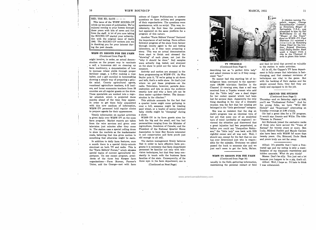This issue of the WIBW ROUND-UP winds up ten years of publication. We've enjoyed coming to your homes through these years with bits of news and fun from the staff. A lot of you now taking the ROUND-UP started your subscription with the original issue of April, 1945. The ROUND-UP writers join me<br>in thanking you for your interest during the past decade.

#### WIBW-TV SHOOTS FOR THE FARM (Continued from Page 9)

might involve, in order, an actual demonstration on the proper way to vaccinate a calf, a humorous skit on cleaning up farm machinery, a demonstration of how measure. to increase wheat yields through proper fertilizer usage, a 4 -H'er making a rope halter, and a girl enrolled in homemaking showing a simple way of preparing a gelatin salad. County agricultural agents, vocational agriculture teachers, 4 -H leaders, and home economics teachers from 28 counties are all regular guests on the show. These specialists are worked into a regular schedule which is projected three months ahead of the time they appear. In order to get them fully acquainted a quarter horse might come galloping in with this new medium of information, WIBW-TV personnel hold regular clinics to prepare agents for their appearances.

Timely information on market activities is given daily over WIBW -TV on the noon farm program. Market reports are taken from the wire services and given over television just minutes after they come in. The station uses a special rolling drum to show the markets as the marketcaster reads, believing that this gives motion to something that otherwise might be static.

In addition to daily farm features, once a month there is a special thirty- minute simulcast on both TV and radio. This is the "Farm Editors' Forum," which stresses special topics of current agricultural importance. On one recent program, presidents of the three key Kansas farm fan<br>organizations — Farm Bureau, Farmer's thr Union, and the Grange-met with farm

RED, THE ED, SAYS  $-$  -  $\frac{1}{2}$  density of support the simulations of the WIBW ROUND-UP of their organizations. The questions were editors of Capper Publications to answer spontaneous, with no script. This was, incidentally, the first time the presidents had appeared on the same platform for a program of this nature.

> Another "Farm Editors' Forum" featured the importance of soil testing. Farm editors followed progress of the show from farmer through county agent to the soil testing laboratory, as if they were preparing a story. This was an actual demonstration from start to finish and stressed the "showing" of each phase, not just the "why it should be done." Soil samples were actually dug, tested, 'and analyzed on the show to point out the value of the

> farm programming on WIBW -TV. As Wes Seyler puts it, "If we're going to sit down and talk, that's a radio show. So that's just where we put these programs on the radio. Television, however, permits demonstration and lets us show the audience exactly how and why a farm job can be done easier-quicker-better. The demonstration is the clincher."

> This attitude accounts for the fact that over a hill, someone might be treating seed wheat, or a boxful of newly-hatched baby chicks might be "cheeping" during a show.

> WIBW -TV in its farm guests aims for both the big and the small, and has had personalities ranging from the Minister of Agriculture, Dominion of Canada; and the President of the National Quarter Horse Association to local Boy Scouts interested in soil conservation and farm youth just old enough to sit still.

> The station management firmly believes that in order to have effective farm programs it is necessary that farm department personnel be familiar not only with television techniques, but that they keep con stantly in touch with the business farm families of the state. Consequently, of the three men in the farm department, one is

(Continued on Next Page)



### TV TWADDLE (Continued from Page 4)

describing her as "a perfect little lady" and asked viewers to call in if they recognized "her."

No sooner had this startling bit of intelligence been conveyed to the approxi. mate 100,000 television families in the Channel 13 viewing area, than a call was received from a Topeka woman who said that the "little lady" was a dead ringer for her cocker spaniel which had been lost for several days. Apparently the only thing standing in the way of a dramatic reunion was the fact that her missing pet belonged in the "little gentleman" category.

She was so insistent that the dog on Jack's program was an identical twin of her pet that some one of an analytical turn of mind (probably an engineer) reviewed the situation and discovered that a great injustice had ben perpetrated, so before you could say "Jacqueline Robinson," the "little lady" was back with HIS rightful owner and all was well. Well, I should say, except for the fact that no one has ever determined just who is responsible for the mistake. Everyone we asked passed the buck to someone else and we just can't seem to get the facts, Ma'am.

#### WIBW -TV SHOOTS FOR THE FARM (Continued from Page 10)

usually in the field, gathering information, maintaining the personal contact at field I was unbalanced.

A citation naming To-Schnellbacher (center), as Honorary Mayor of Springdale, U.S.A., was presented to him by Hal McWilliams (1) on the "Mayor of the Town" show on WIBW -TV. Paul Sherman  $(r)$  received a<br>citation as Honorary Police Chief for his brother, Roland Sherman, local Staley dealer. Each week a mayor from a city in the Channel 13 area is given this honor.

and feed lot level that proved so valuable to the station in radio activities.

All in all, the Capper's TV farm department is fully aware that television is fastchanging, and that constant revisions of techniques are vital to the game. But with the backing of their station and the people around them, they feel they are ready and equipped to do the job.

#### AROUND THE STUDIOS (Continued from Page 3)

Thursday-and on Saturday night at 9:00, you'll see "Professional Father." And for the young folks, we have "Wild Bill Hickok" and "Superman" alternating on Tuesday evenings at 5:00 o'clock.

Ole had a great idea for a TV program. It would star Jimmie and Willie. The title: "Pierson to Pierson."

Art Holbrook joined the exclusive ranks of those who have served the "Voice of Kansas" for twenty years or more. Ben Ludy, Mildred Rankin and Maude Carlson also have been with WIBW for more than twenty years. Ole, Edmund, Dude Hank and yours truly are not far away.

Alfred: It's possible that I have a frustrated ego and my eating is only a manifestation of my traumatic repressions and hidden neurosis. What do you think?

Mama: Don't be silly. You just eat a lot because you happen to be a pig, that's all. Alfred: Well, I hope so. I'd hate to think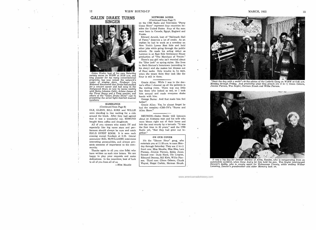## GALEN DRAKE TURNS SINGER



Galen Drake, host of his own Saturday variety series on WIBW at 10:30 a.m. and long popular for his many conversational programs, has now joined the network's roster of singing stars. Producer Lou Melamed discovered that Drake had studied for a concert career and had sung in the<br>Hollywood Bowl, so now he teams weekly with Betty Johnson (left), Arlene James of the Three Beaus and a Peep quartet, and others of the "Galen Drake Show" cast in presenting the series' light-hearted musical numbers.

#### RAMBLINGS (Continued from Page 8)

OLE, GLENN, BILL KIRK and WILLIE were standing in line waiting for a ride around the block. After they had agreed that it was a wonderful car, EDMUND bought them coffee and doughnuts.

especially like big name stars and performers should always be sure and catch HAL'S GUEST ROOM. It is seen each evening except Sundays at 6:25. Genial announcer HAL McWILLIAMS interviews interesting personalities, and always presents someone of importance to the com- munity.

Thanks again to all you nice folks who have written us such nice letters. We are happy to play your requests and make dedications. In the meantime, best of luck to all of you from all of us.<br>--- Miss Maudie

### NETWORK NOTES

(Continued from Page 7)

on the CBS Radio and Television "Perry Como Show" represent four countries besides the United States. Four of the men were born in Canada, Egypt, England and Russia.

Edward Arnold, host of "Hallmark Hall of Fame," deserves a lot of credit. As an orphan he had to work as a newsboy on New York's Lower East Side and hold other jobs while going through the public schools. He made his acting debut as Lorenzo in an East Side Settlement House production of "The Merchant of Venice." There's one girl who isn't worried about the "Dior look" or spring styles. She lives in Herb Shriner's hometown (according to his story) and she makes her dresses out of flour sacks. Only trouble is, he says, when she wears them they look like the flour is still in them.

Gracie Allen: While I was in the doctor's office I cheered up all the patients in the waiting room. There was one little boy there who looked so sad, so I took him around and made everyone shake hands with him.

George Burns: And that made him feel better?

Gracie Allen: Yes, he almost forgot he had the measles.- CBS-TV's "Burns and Allen Show."

All of you viewers who watch TV and into the next county by a tornado. "It was REUNION-Galen Drake told listeners were blown right out of their home and the first time in 20 years," said the CBS Radio wit, "that they had gone out together."

#### ON OUR COVER

It's the "Dinner Hour" gang, who entertain you at 11:35 a.m. to noon Monday through Saturday. They are (1 to r) front row: Miss Maudie, Miss Elsa, Lois Pierson, Jimmie Pierson, Eddie Jones. Second row: Dude Hank, Ole Livgren, Edmund Denney, Bill Kirk, Willie Pier son. Third row: Glenn Osborn, Chuck Wayné, Hoppi Corbin, Herman Housh.

"Start the day with a smile"—is the advice of the Lederle Gang on WIBW at 6:45 a.m.<br>Monday through Friday. And practicing what they preach are (l to r) Glenn Osborn,<br>Jimmie Pierson, Wes Seyler, Herman Housh and Willie Pie

It was a big day for Denver Marlow of Alma, Kansas, who is recuperating from an automobile accident, when Gene Autry let him hold his gun. Wes Seyler interviewed

Denver's daddy, who is county agent for Wabaunsee County, while smiling Wilbur Levering, Denver's grandmother and sister Memory look on.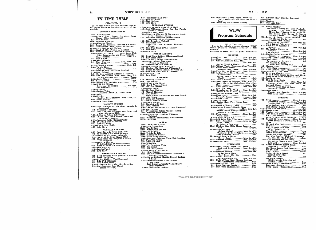14 WIBW ROUND-UP

TV TIME TABLE CHANNEL 13 Due to last minute program changes, WIBW-TV cannot guarantee complete accuracy of this Rchedule. MONDAY THRU FRIDAY 7:00 - Morning Show<br>9:00 - Variety Time, Except Tuesday - Garry<br>Moore (Miles Laboratories)<br>2014 - Moore (Miles Laboratories) 9:15-Test Pattern. 10:00 Morning Movietime<br>11:15 - Woman's World 11:15---Woman's World<br>11:30--Search for Tomorrow (Procter & Gamble)<br>11:45--The Guiding Light (Procter & Gamble) 12:00 -Farm Feature and Markets 12:15 -Road of Life (Procter & Gamble) 12:30 -Welcome Traveler (Procter & Gamble) 1:00 -Robert Q. Lewis Mon., Tues., Wed. (Miles Laboratories and Corn Products) Short Subjects Thurs., Fri. 1:15 -Foy Willing 1:30 -What's Cookin' 2:00 -Short Subjects Mon., Wed., Fri. Big Payoff Tues., Thurs. 2:15 -Friendship House Mon., Wed., Fri. 2:30-Variety Time Faith for Today Fri. 3:00 -Brighter Day (Procter & Gamble) 3:15-Short Subject 3:30 -On Your Account (Procter & Gamble) 4:00 -The Late Matinee..Mon., Tues., Wed., Fri. The Christophers Thurs. 4:15 -Garry Moore Thurs. 4:30 -Late Matinee Thurs. 4:45 -Barker Bill (General Mills) Fri. 5:00 -Wild Bill Hickok Superman (Kellogg's) Tex McKinney 5:15- Studio 13 5:45 -Captain Video Alt. Tues. 5:45 Captain Video<br>(Johnson Candy Co., Thurs. only) 6:00 -News 6:10 -- Weather (Beatrice Foods -Meadow Gold) .Tues., Fri. 6:15 -Sports Corner 6:25 -Hal's Guest Room MONDAY EVENING 6:30 -Doug Edwards and the News (Anacin & Aeroshave) 6:45 -Community Spotlight 7:00 -Hans Christian Anderson and Burns and Allen (Carnation Milk) 7:30 -T -Men in Action (Chevrolet) 8:00-I Love Lucy (Philip Morris Cigarettes) 8:30 --December Bride (General Foods)<br>9:00 -- Wrestling from Hollywood<br>10:00 -- Five Star Final 10:00 - Five Star Final<br>10:15 - What's Your Hobby<br>10:30 - Late Show TUESDAY EVENING 6:30 --Doug Edwards News (Pall Mall)<br>6:45-Jo Stafford (Gold Seal Company)<br>7:00 --Bishop Fulton Sheen (Admiral)<br>7:30 ---Mayor of the Town (Staley Mills)<br>8:00 ---Make Room For Daddy (Pall Mall &<br>Dodge Motors) 8:30 Elgin TV Theater U. S. Steel Hour (Alternate Weeks) 9:30 -Amos 'n' Andy (Ed Marling Stores) 10:00 --- Five Star Final<br>10:15 -- Topeka Patrol<br>10:30 --- Late Show WEDNESDAY EVENING 6:30 Doug Edwards News (Bendix & Crosley)<br>6:45 Plano Ramblings 6:45 -Piano Ramblings 7:00 -Arthur Godfrey (Toni Company) 7:30 -Life With Elizabeth 8:00 -Tex Winter Show 8:30 -I've Got A Secret (Cavalier Cigarettes) 9:00 Old American Barn Dance<br>
(Jones-Mack Co.) Fri. 9:30 -Hal Roach's Laff Time 10:00 -Five Star Final 10:15 -Civil Defense 10:30 -Late Show 7:00-Here's Phog Allen 10:30 -Late Show 8:00 - Playhouse of Stars (Schlitz) 8ATURDAY<br>11:00—Morning Movietime<br>12:00—Test Pattern 1:00—What in the World<br>1:30—Youth Takes a Stand 2:00 -Six Gun Theatre 3:00-Roller Derby 3:30—The Late Matinee<br>4:45—Musical Moments<br>5:00 PED Bande 4:45 Musical Moments<br>5:00 - RFD Parade 5:30 -Big Picture 6:00 -News and Weather 6:15 -Helen Bennett Homes 6:20- Sports Corner 6:30 -Building with God 8:30 -Joe Palooka 9:00 -Lamp Unto My Feet 9:30 Look Up and Live 10:00 Test Pattern 11:00 -Winky Dink and You 11:30 -Test Pattern 12:00 - This Is the Life<br>12:30 --Industry on Parade<br>12:45 -- Music of the Masters 1:30-Face The Nation 2:00-Now and Then 2:30-Adventure 3:00-The American Week 3:30-The Search 4:00 -Six Gun Theatre 4:30 -Woman of the Month 5:00-Oral Roberts & Loan) . Cigarettes) Jack Benny, Alternate Weeks (Lucky Strike Cigarettes) 7:00 -Championship Bowling

THURSDAY EVENING 6:30 -Doug Edwards News (Pall Mall) 6:45 -Bud Wilkinson, Sports For The Family (Beatrice Foods) 7:30 --Climax & (Shower Of Stars-every fourth<br>
week) --Chrysler Motors<br>
8:30--Four-Star Playhouse (Singer Sewing<br>
Machines and Bristol-Myers) Machines and Bristol-Myers)<br>9:00—City Detective (Falstaff)<br>9:30—Pantomine Quiz<br>Name That Tune (Whitehall, Alternate<br>Weeks) 10:00 - Five Star Final (I.G.A. Grocers)<br>10:15 - Featurette FRIDAY EVENING 6:30 --Doug Edwards News (Pharmaceuticals)<br>6:45 --Ray Beers Show<br>7:00 --Life With Father (CBS-Columbia)<br>7:30 --Topper (Camel Cigarettes)<br>1988 -- Chrocter & Gamble) 8:30-Ford Theatre (Ford Motor Co.) 9:00 - The Line-Up (Brown & Williamson)<br>9:30 - Person to Person (Hamms Brewing Co.) 10:30 -Pive Star Final (I.G.A. Grocers)<br>10:15 -Sands of Time<br>10:30 -Late Show SATURDAY Farm Editors Forum--1st Sat. each Month 6:45 -Film Feature 8:00 -Two For The Money (Old Gold Cigarettes) 9:00 -- Professional Father (Helene Curtis)<br>9:30 -- Inspector Mark Saber 10:00 -Chronoscope (Longines Wittnauer<br>Watches) 10:15 -- Wrestling, International Amphitheatre<br>11:15 -- Late Show SUNDAY 1:00- American Religious Town Hall Meeting 5:30 -You Are There (Prudential Insurance & Electric Companies) 6:00 - Florian ZaBach (Capitol Federal Savings 6:30 -Private Secretary (Lucky Strike

```
WIBW 
         Program Schedule 
                    580 on Your Dial 
  Due to last minute program changes, WIBW 3
cannot guarantee complete accuracy of this 
schedule. 
Programs In heavy type are Studio Productions 
                        MORNING 
5:00-Farm Time \dots\dots\dots\dots\dots Mon. thru Sat.
 5:40 -News Mon. thru Sat. 
6:00 -Wilbur Levering's Farm Time 
 Mon. thru Sat. 
Sunday Morning Meeting Sun. 
6:25 -Willard Tablet Time Mon., Wed., Fri. 
 6:30 -Gooch Farm Topics (Gooeh's Best Feeds) ....Mon. thru Fri. 
6:35 -Farm Service News Mon. thru Sat. 
6:45 -Lederle Farm Show (Lederle Laboratories) Mon. thru Fri. 
         Animal Health Clinic (Dr. Hess & Clark)<br>Clark) Sat. 5
 6:50 - Jimmie Pierson Sat. 
7:00 -News (Garst & Thomas) ..Mon., Wed., Fri. 
News (Carey Salt Co.) ..Toes., Thurs., Sat. 
 News Month (1997)<br>7:15 - Kaw Valley Boys Mon. thru Sat.
```
8:00-Disneyland (Derby Foods, American

9:00 Break The Bank (Dodge Motors)

Dairy Association and American Motors<br>Inc.)

Join The Navy...........................Sun.<br>7:30 --Breakfast on the Trail .....Mon. thru Sat. 5<br>Kansas News & Farm Sales...........Sun.<br>7:45 --Edmund Denney Time  $8:00$ —News  $\ldots$  Mon. thru Sat.<br>Farmer's Forum  $\ldots$  Mon. thru Sat.<br> $8:05$ —Coffee Time  $\ldots$   $\ldots$  Mon. thru Sat. 8:15 - Farm News Sun. (1988)<br>8:30 - Garden Gate (Ferry-Morse Seed Co.) Sun. 8:45 -Grace Cathedral Choir Sun. 9:00 - Jimmie Pierson's Novelty Boys Mon. thru Sat. Renfro Valley Sunday Gatherin' (General Foods) Sun. Mon. thru Sat. 6:<br>
Galen Drake Sun. Mon. thru Sat.<br>
Galen Drake Sun. Sun. 19:30-Church of the Air Sun. 10:00-Salt Lake City Tabernacle............Sun. 6: 10:00 Salt Lake City Tabernacle..........Sun. 6:<br>10:30 Piano Ramblings ........... Mon. thru Fri. Galen Drake Sat. Invitation to Learning Sun. 10:45 -Kitchen Club (Tidy House Products Co.) Mon. thru Fri. 11:00-Judy and Jane (Folger Coffee) ..........Mon. thru Fri.<br>Gunsmoke (L & M Filters)..........Sat.<br>First Methodist Church ..............Sun. 11:15 -Aunt Jenny's Stories (Lever Bros.)  $\ldots \ldots \ldots \ldots \ldots$  Mon. thru Fri.<br>Jeather Bureau Mon. thru Sat 7: 11:30- Weather Bureau Mon. thru Sat. 11:35 -Dinner Hour Mon. thru Sat. AFTERNOON 12:00-News (Perfex, Gloss Tex., Shina Dish and Dexol) ......... Mon. thru Sat. News Sun. Mon. thru Sat. 12:15-Weather Reports .........<br>The Ray Beers Show

# (Ray Beers Clo. Co.)..............Sun.<br>12:20 -- Purina Markets (Ralston-Purina Co.) ....Mon. thru Sat.<br>12:30-State of Your State (Kansas Business<br>12:30-State of Your State (Kansas Business and Construction Magazines) .......Sun.

12:45 -Western Star Time Sun. 1:00 -Ernie Quigley, Sports Sun. 1:00 Ernie Quigley, Sports .................Sun.<br>1:30 New York Philharmonic..............Sun.

9:30 -Liberace (Ray Christian Jewelers)<br>10:05 -News<br>10:05 -Weather<br>10:10 - The Late Show

| 2:00-Arthur Godfrey                                        |
|------------------------------------------------------------|
| (Minnesota Mining Co.-Corn Products-                       |
| Kellogg Co. - Lever Bros. - Bristol                        |
| Myers Co.-Pillsbury Mills, Inc.-Gen-                       |
| eral Motors-Toni Co.-A. E. Staley-                         |
| Campana Sales)  Mon. thru Fri.                             |
| 2:30—Robert Q. Lewis (Milner Products                      |
| and Helene Curtis) Sat.                                    |
| 3:00-The Second Mrs. Burton                                |
| (Armour & Company)Mon. thru Fri.                           |
| On a Sunday AfternoonSun.                                  |
| 3:15-Road of Life (Procter &                               |
| Gamble)  Mon. thru Fri.                                    |
| 3:30-Ma Perkins (Procter &                                 |
| Gamble) Mon. thru Fri.                                     |
| City Hospital Sat.                                         |
| 3:45 Guiding Light (Procter &                              |
| Gamble) Mon. thru Fri.                                     |
| 3:55 Galen Drake (Tasti-Diet)Sat.                          |
| 4:00-Local News  Mon. thru Fri.                            |
| Adventures in Science Sat.                                 |
| Dr. Charles E. Fuller                                      |
| (Gospel Broadcasting Co.) Sun.                             |
| 4:05 Matinee Time  Mon. thru Fri.                          |
| 4:15-Farm News Sat.                                        |
| 4:30-Allan Jackson News (Chevrolet)Sat.                    |
| 4:35 Saturday at The ChaseSat.                             |
| $5:00$ —Town and Country Sat.                              |
| Farm Editors Forum 1st Sat. each Month                     |
| Gene Autry (Wm. Wrigley Jr. Co.)                           |
| 5:15 Sports Review Sat.                                    |
| 5:30—This Is Nora Drake                                    |
| (Toni Company) Mon., Wed., Fri.                            |
| (Bristol Myers Co.). Tues., Thurs., Fri.                   |
| Forward March Sat.                                         |
| Hallmark Radio Hall of Fame                                |
| (Hallmark Cards) Sun.                                      |
| 5:45-Perry Mason                                           |
|                                                            |
| (Procter and Gamble)Mon. thru Fri.<br>Jones-Mack News Sat. |
|                                                            |
|                                                            |

#### EVENING

| 6:00 News  Mon. thru Fri.                  |  |
|--------------------------------------------|--|
| (Butternut Coffee) Mon., Wed., Fri.        |  |
| (Jones-Mack Co.) Tues., Thurs.             |  |
| Allan Jackson News (Chevrolet),Sat.        |  |
| Jack Benny (Lucky Strike)Sun.              |  |
| 6:05-Make Way For Youth Sat.               |  |
| 6:15-Sports News Mon. thru Fri.            |  |
| 6:25-Weather Mon. thru Fri.                |  |
| 6:30-Dick Nichols Farm News Mon. thru Fri. |  |
| R.F.D. Roundtable Sat.                     |  |
| Amos 'n' Andy (CBS Columbia)Sun.           |  |
| 6:45-Edward R. MurrowMon. thru Fri.        |  |
| (Ford Division of Ford Motor Co.)          |  |
|                                            |  |
| 7:00-Mr. and Mrs. NorthMon.                |  |
| Suspense Tues.                             |  |
| FBI In Peace and WarWed.                   |  |
| (Wm. Wrigley Jr. Co.)                      |  |
| The Whistler Thurs.                        |  |
| Crime Photographer Fri.                    |  |
| Gunsmoke (L&M Filters)Sat.                 |  |
| Our Miss Brooks (Whitehall Pharmacal       |  |
| Co. and The Toni Co.)Sun.                  |  |
| 7:25-Doug Edwards and the News             |  |
| (American Cigarette and Cigar Co.)         |  |
| Pall Mall  Mon. thru Fri.                  |  |
| 7:30-Arthur Godfrey's Talent Scouts        |  |
| (Thomas J. Lipton Co.)Mon.                 |  |
| Mr. Keen, Tracer Lost PersonsTues.         |  |
|                                            |  |
| Night Watch Thurs.                         |  |
| Arthur Godfrey Digest Fri.                 |  |
| (Bristol-Myers Co.)                        |  |
| Juke Box Jury Sat.                         |  |
| My Little Margie                           |  |
| (Philip Morris Cigarettes and              |  |
| Campana Sales) Sun.                        |  |
| 8:00 Perry Como (Chesterfields)Mon.        |  |
| Rosemary Clooney Tues.                     |  |
| Perry Como (Chesterfields) Wed.            |  |

 $\mathbf{1}$ 

 $\mathbf{v}$